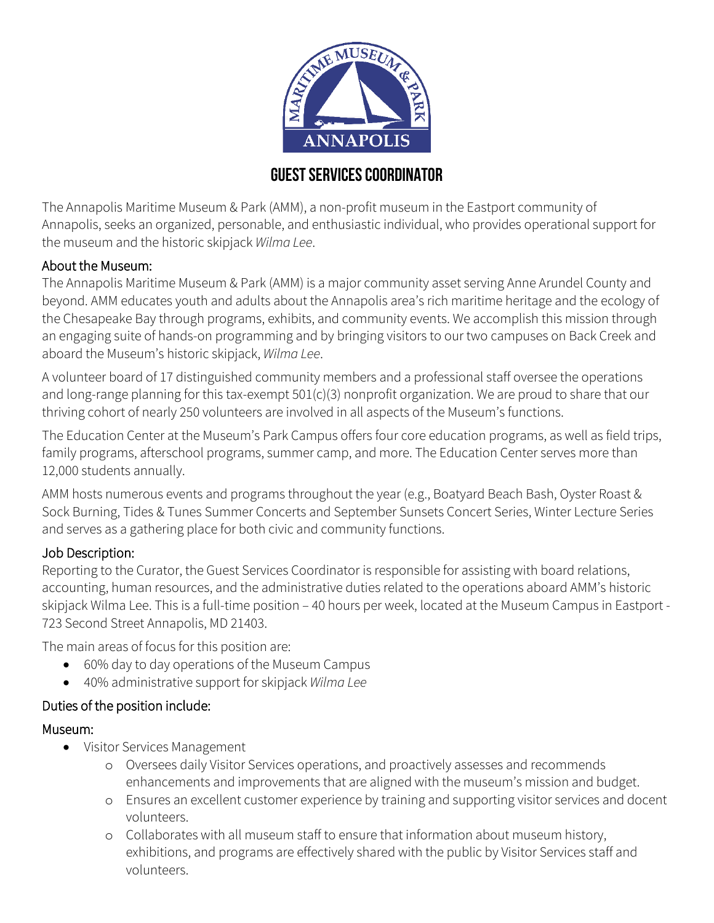

# **Guest servicescoordinator**

The Annapolis Maritime Museum & Park (AMM), a non-profit museum in the Eastport community of Annapolis, seeks an organized, personable, and enthusiastic individual, who provides operational support for the museum and the historic skipjack *Wilma Lee*.

### About the Museum:

The Annapolis Maritime Museum & Park (AMM) is a major community asset serving Anne Arundel County and beyond. AMM educates youth and adults about the Annapolis area's rich maritime heritage and the ecology of the Chesapeake Bay through programs, exhibits, and community events. We accomplish this mission through an engaging suite of hands-on programming and by bringing visitors to our two campuses on Back Creek and aboard the Museum's historic skipjack, *Wilma Lee*.

A volunteer board of 17 distinguished community members and a professional staff oversee the operations and long-range planning for this tax-exempt 501(c)(3) nonprofit organization. We are proud to share that our thriving cohort of nearly 250 volunteers are involved in all aspects of the Museum's functions.

The Education Center at the Museum's Park Campus offers four core education programs, as well as field trips, family programs, afterschool programs, summer camp, and more. The Education Center serves more than 12,000 students annually.

AMM hosts numerous events and programs throughout the year (e.g., Boatyard Beach Bash, Oyster Roast & Sock Burning, Tides & Tunes Summer Concerts and September Sunsets Concert Series, Winter Lecture Series and serves as a gathering place for both civic and community functions.

#### Job Description:

Reporting to the Curator, the Guest Services Coordinator is responsible for assisting with board relations, accounting, human resources, and the administrative duties related to the operations aboard AMM's historic skipjack Wilma Lee. This is a full-time position – 40 hours per week, located at the Museum Campus in Eastport - 723 Second Street Annapolis, MD 21403.

The main areas of focus for this position are:

- 60% day to day operations of the Museum Campus
- 40% administrative support for skipjack *Wilma Lee*

### Duties of the position include:

#### Museum:

- Visitor Services Management
	- o Oversees daily Visitor Services operations, and proactively assesses and recommends enhancements and improvements that are aligned with the museum's mission and budget.
	- o Ensures an excellent customer experience by training and supporting visitor services and docent volunteers.
	- o Collaborates with all museum staff to ensure that information about museum history, exhibitions, and programs are effectively shared with the public by Visitor Services staff and volunteers.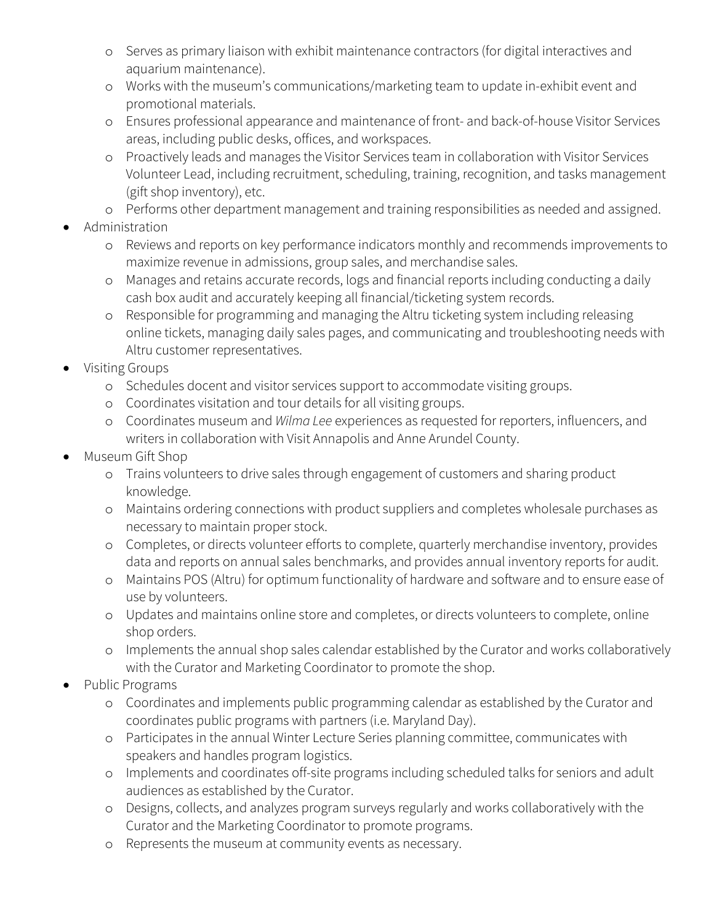- o Serves as primary liaison with exhibit maintenance contractors (for digital interactives and aquarium maintenance).
- o Works with the museum's communications/marketing team to update in-exhibit event and promotional materials.
- o Ensures professional appearance and maintenance of front- and back-of-house Visitor Services areas, including public desks, offices, and workspaces.
- o Proactively leads and manages the Visitor Services team in collaboration with Visitor Services Volunteer Lead, including recruitment, scheduling, training, recognition, and tasks management (gift shop inventory), etc.
- o Performs other department management and training responsibilities as needed and assigned.
- Administration
	- o Reviews and reports on key performance indicators monthly and recommends improvements to maximize revenue in admissions, group sales, and merchandise sales.
	- o Manages and retains accurate records, logs and financial reports including conducting a daily cash box audit and accurately keeping all financial/ticketing system records.
	- o Responsible for programming and managing the Altru ticketing system including releasing online tickets, managing daily sales pages, and communicating and troubleshooting needs with Altru customer representatives.
- Visiting Groups
	- o Schedules docent and visitor services support to accommodate visiting groups.
	- o Coordinates visitation and tour details for all visiting groups.
	- o Coordinates museum and *Wilma Lee* experiences as requested for reporters, influencers, and writers in collaboration with Visit Annapolis and Anne Arundel County.
- Museum Gift Shop
	- o Trains volunteers to drive sales through engagement of customers and sharing product knowledge.
	- o Maintains ordering connections with product suppliers and completes wholesale purchases as necessary to maintain proper stock.
	- o Completes, or directs volunteer efforts to complete, quarterly merchandise inventory, provides data and reports on annual sales benchmarks, and provides annual inventory reports for audit.
	- o Maintains POS (Altru) for optimum functionality of hardware and software and to ensure ease of use by volunteers.
	- o Updates and maintains online store and completes, or directs volunteers to complete, online shop orders.
	- o Implements the annual shop sales calendar established by the Curator and works collaboratively with the Curator and Marketing Coordinator to promote the shop.
- Public Programs
	- o Coordinates and implements public programming calendar as established by the Curator and coordinates public programs with partners (i.e. Maryland Day).
	- o Participates in the annual Winter Lecture Series planning committee, communicates with speakers and handles program logistics.
	- o Implements and coordinates off-site programs including scheduled talks for seniors and adult audiences as established by the Curator.
	- o Designs, collects, and analyzes program surveys regularly and works collaboratively with the Curator and the Marketing Coordinator to promote programs.
	- o Represents the museum at community events as necessary.